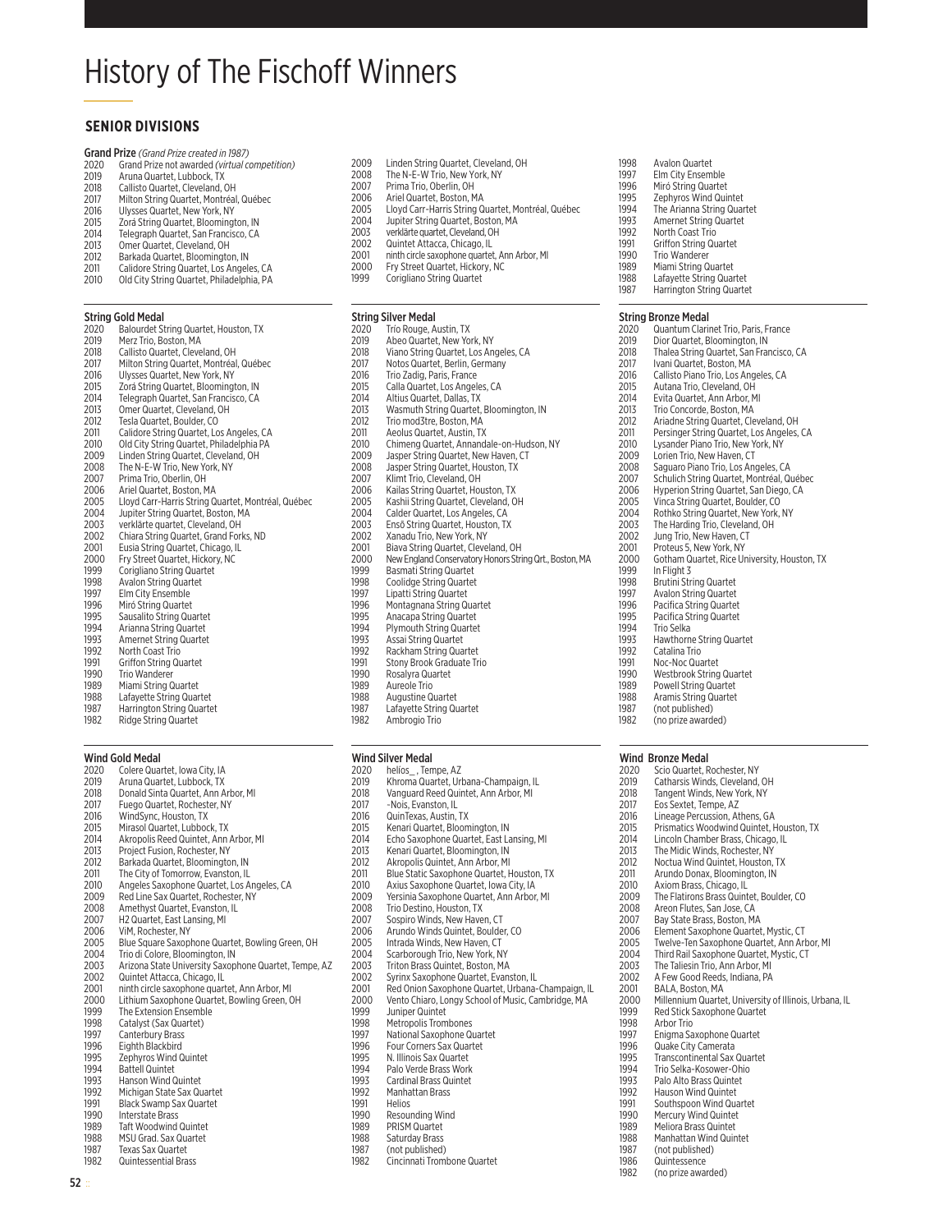# **History of The Fischoff Winners**

## **SENIOR DIVISIONS**

Grand Prize (Grand Prize created in 1987)<br>2020 Grand Prize not awarded (virtual competition)

- 2019 Aruna Quartet, Lubbock, TX
- 2018
- Arana Guartet, Cleveland, OH<br>Milton String Quartet, Montréal, Québec<br>Ulysses Quartet, New York, NY 2017
- 2016
- Zorá String Quartet, Bloomington, IN 2015
- Telegraph Quartet, San Francisco, CA 2014  $2013$ Omer Quartet, Cleveland, OH
- Barkada Quartet, Bloomington, IN 2012
- Calidore String Quartet, Los Angeles, CA 2011
- $2010$ Old City String Quartet, Philadelphia, PA

### **String Gold Medal**

| 2020 | Balourdet String Quartet, Houston, TX              |
|------|----------------------------------------------------|
| 2019 | Merz Trio, Boston, MA                              |
| 2018 | Callisto Quartet. Cleveland. OH                    |
| 2017 | Milton String Quartet, Montréal, Québec            |
| 2016 | Ulysses Quartet, New York, NY                      |
| 2015 | Zorá String Quartet, Bloomington, IN               |
| 2014 | Telegraph Quartet. San Francisco. CA               |
| 2013 | Omer Quartet, Cleveland, OH                        |
| 2012 | Tesla Quartet, Boulder, CO                         |
| 2011 | Calidore String Quartet, Los Angeles, CA           |
| 2010 | Old City String Quartet, Philadelphia PA           |
| 2009 | Linden String Quartet, Cleveland, OH               |
| 2008 | The N-E-W Trio, New York, NY                       |
| 2007 | Prima Trio, Oberlin, OH                            |
| 2006 | Ariel Quartet, Boston, MA                          |
| 2005 | Lloyd Carr-Harris String Quartet, Montréal, Québec |
| 2004 | Jupiter String Quartet, Boston, MA                 |
| 2003 | verklärte quartet. Cleveland. OH                   |
| 2002 | Chiara String Quartet, Grand Forks, ND             |
| 2001 | Eusia String Quartet, Chicago, IL                  |
| 2000 | Fry Street Quartet, Hickory, NC                    |
| 1999 | Corigliano String Quartet                          |
| 1998 | <b>Avalon String Quartet</b>                       |
| 1997 | Elm City Ensemble                                  |
| 1996 | Miró String Quartet                                |
| 1995 | Sausalito String Quartet                           |
| 1994 | Arianna String Quartet                             |
| 1993 | Amernet String Quartet                             |
| 1992 | North Coast Trio                                   |
| 1991 | <b>Griffon String Quartet</b>                      |
| 1990 | Trio Wanderer                                      |
| 1989 | Miami String Quartet                               |
| 1988 | Lafavette String Quartet                           |
| 1007 | Llavrington Chris a Ouartat                        |

arrington String Quartei 1982 Ridge String Quartet

### **Wind Gold Medal**

- Colere Quartet, Iowa City, IA 2020 Aruna Quartet, Lubbock, TX 2019 2018 Donald Sinta Quartet, Ann Arbor, MI Fuego Quartet, Rochester, NY 2017 2016 WindSync, Houston, TX Mirasol Quartet, Lubbock, TX<br>Akropolis Reed Quintet, Ann Arbor, MI 2015  $\frac{2015}{2014}$ 2013 Project Fusion, Rochester, NY 2012 Barkada Quartet, Bloomington, IN 2011 The City of Tomorrow, Evanston, IL Angeles Saxophone Quartet, Los Angeles, CA<br>Red Line Sax Quartet, Rochester, NY 2010 2009 2008 Amethyst Quartet, Evanston, IL 2007 H2 Quartet, East Lansing, MI  $2006$ ViM. Rochester, NY 2005 Blue Square Saxophone Quartet, Bowling Green, OH Trio di Colore, Bloomington, IN 2004 Arizona State University Saxophone Quartet, Tempe, AZ 2003 Quintet Attacca, Chicago, IL 2002 2001 ninth circle saxophone quartet, Ann Arbor, MI Lithium Saxophone Quartet, Bowling Green, OH<br>The Extension Ensemble 2000 ----<br>1999 Catalyst (Sax Quartet) 1998 Canterbury Brass 1997 1996 Eighth Blackbird 1995 Zephyros Wind Quintet **Battell Quintet** 1994 1993 Hanson Wind Quintet 1992 Michigan State Sax Quartet 1001 Black Swamp Sax Quartet 1990 Interstate Brass 1989 **Taft Woodwind Quintet** 1988 MSU Grad. Sax Quartet 1987 **Texas Sax Quartet**
- Quintessential Brass
- 
- 
- 
- 1982
- Linden String Quartet, Cleveland, OH The N-E-W Trio, New York, NY<br>Prima Trio, Oberlin, OH 2008 2007 2006 Ariel Quartet, Boston, MA Lloyd Carr-Harris String Quartet, Montréal, Québec 2005 2004 Jupiter String Quartet, Boston, MA verklärte quartet, Cleveland, OH<br>Quintet Attacca, Chicago, IL 2003 2002 ninth circle saxophone quartet, Ann Arbor, MI  $7001$ 2000 Fry Street Quartet, Hickory, NC
	- 1999 Corigliano String Quartet

### **String Silver Medal**

2009

2020 Trío Rouge, Austin, TX Abeo Quartet, New York, NY 2019 2018 Viano String Quartet, Los Angeles, CA 2017 Notos Quartet, Berlin, Germany Trio Zadig, Paris, France 2016 Calla Quartet, Los Angeles, CA 2015 2014 Altius Quartet, Dallas, TX Wasmuth String Quartet, Bloomington, IN 2013 Trio mod3tre. Boston, MA 2012 Aeolus Quartet, Austin, TX 2011  $2010$ Chimeng Quartet, Annandale-on-Hudson, NY Jasper String Quartet, New Haven, CT 2009 Jasper String Quartet, Houston, TX<br>Klimt Trio, Cleveland, OH 2008 2007 Kailas String Quartet, Houston, TX 2006 Kashii String Quartet, Cleveland, OH 2005 Calder Quartet, Los Angeles, CA 2004 2003 Enső String Quartet, Houston, TX 2002 Xanadu Trio, New York, NY Biava String Quartet, Cleveland, OH 2001 2000 1999 Basmati String Quartet 1998 Coolidge String Quartet 1997 Lipatti String Quartet 1996 Montagnana String Quartet Anacapa String Quartet 1995 1994 Plymouth String Quartet 1993 Assai String Quartet Rackham String Quartet<br>Stony Brook Graduate Trio 1991  $1990$ Rosalyra Quartet 1989 Aureole Trio **Augustine Quartet** 

- 1087 Lafayette String Quartet 1982 Ambrogio Trio
- **Wind Silver Medal**
- 2020
- helíos\_, Tempe, AZ<br>Khroma Quartet, Urbana-Champaign, IL 2019 2018 Vanguard Reed Quintet, Ann Arbor, MI Nois, Evanston, IL 2017 2016 QuinTexas, Austin, TX Kenari Quartet, Bloomington, IN<br>Echo Saxophone Quartet, East Lansing, MI 2015  $\frac{2013}{2014}$ 2013 Kenari Quartet, Bloomington, IN 2012 Akropolis Quintet, Ann Arbor, MI 2011 Blue Static Saxophone Quartet, Houston, TX Axius Saxophone Quartet, Iowa City, IA 2010 Yersinia Saxophone Quartet, Ann Arbor, MI 2009 2008 Trio Destino, Houston, TX 2007
	- Sospiro Winds, New Haven, CT
- $2006$ Arundo Winds Quintet, Boulder, CO
- 2005 Intrada Winds New Haven CT
- 2004 Scarborough Trio, New York, NY 2003
- Triton Brass Quintet, Boston, MA Syrinx Saxophone Quartet, Evanston, IL 2002
- 2001 Red Onion Saxophone Quartet, Urbana-Champaign, IL
- 2000 Vento Chiaro, Longy School of Music, Cambridge, MA
- 1999 **Juniper Quintet**
- Metropolis Trombones 1998
- National Saxophone Quartet 1997
- 1996 Four Corners Sax Quartet
- 1995 N. Illinois Sax Quartet
- Palo Verde Brass Work 1994
- 1993 Cardinal Brass Quintet
- 1992 Manhattan Brass
- 1991 Helios
- Resounding Wind 1990
- 1989 PRISM Quartet
- 1988 Saturday Brass
- 1987 (not published) Cincinnati Trombone Quartet 1982
	-
- 1998 Avalon Quartet
- Elm City Ensemble 1997
- Miró String Quartet 1996 Zephyros Wind Quintet 1995
- 1994
- The Arianna String Quartet Amernet String Quartet 1993
- 1992
- North Coast Trio<br>Griffon String Quartet 1991
- $1990$ Trio Wanderer
- 1989 Miami String Quartet
- 1988 Lafayette String Quartet 1987 Harrington String Quartet

### **String Bronze Medal**

Quantum Clarinet Trio, Paris, France 2020 Dior Quartet, Bloomington, IN 2019 Thalea String Quartet, San Francisco, CA 2018 2017 Ivani Quartet, Boston, MA Callisto Piano Trio, Los Angeles, CA 2016 Autana Trio, Cleveland, OH 2015 2014 Evita Quartet, Ann Arbor, MI  $2013$ Trio Concorde, Boston, MA Tho concorde, Boston, MA<br>Ariadne String Quartet, Cleveland, OH<br>Persinger String Quartet, Los Angeles, CA 2012 2011 Lysander Piano Trio, New York, NY 2010 Lorien Trio, New Haven, CT 2009 Saguaro Piano Trio, Los Angeles, CA<br>Schulich String Quartet, Montréal, Québec<br>Hyperion String Quartet, San Diego, CA 2008 2007 2006 Vinca String Quartet, Boulder, CO 2005 Rothko String Quartet, New York, NY 2004 2003 The Harding Trio, Cleveland, OH 2002 Jung Trio, New Haven, CT Proteus 5. New York, NY 2001 Gotham Quartet, Rice University, Houston, TX 2000 1999 In Flight 3 1998 Brutini String Quartet 1997 Avalon String Quartet 1996 Pacifica String Quartet Pacifica String Quartet 1995 1994 **Trio Selka** 1993 Hawthorne String Quartet 1992 Catalina Trio Noc-Noc Quartet 1991  $1990$ Westbrook String Quartet Powell String Quartet

- 1989
- 1988 Aramis String Quartet 1987 (not published)
- 1982 (no prize awarded)

### **Wind Bronze Medal**

Scio Quartet Rochester NY 2020 2019 Catharsis Winds, Cleveland, OH 2018 Tangent Winds, New York, NY Eos Sextet, Tempe, AZ 2017 2016 Lineage Percussion, Athens, GA Prismatics Woodwind Quintet, Houston, TX<br>Lincoln Chamber Brass, Chicago, IL 2015  $\frac{2015}{2014}$ 2013 The Midic Winds, Rochester, NY 2012 Noctua Wind Quintet, Houston, TX 2011 Arundo Donax, Bloomington, IN Axiom Brass, Chicago, IL<br>The Flatirons Brass Quintet, Boulder, CO 2010 2009 2008 Areon Flutes, San Jose, CA 2007 Bay State Brass, Boston, MA 2006 Element Saxophone Quartet, Mystic, CT 2005 Twelve-Ten Saxophone Quartet. Ann Arbor. MI Third Rail Saxophone Quartet. Mystic. CT 2004 2003 The Taliesin Trio, Ann Arbor, MI A Few Good Reeds, Indiana, PA 2002 2001 BALA, Boston, MA Millennium Quartet, University of Illinois, Urbana, IL<br>Red Stick Saxophone Quartet 2000 1999 1998 Arbor Trio Enigma Saxophone Quartet 1997 1996 Quake City Camerata 1995 **Transcontinental Sax Quartet** Trio Selka-Kosower-Ohio 1994 Palo Alto Brass Quintet 1993 1992 **Hauson Wind Quintet** 1991 Southspoon Wind Quartet Mercury Wind Quintet 1990 1989 Meliora Brass Quintet 1988 Manhattan Wind Quintet 1987 (not published) 1986 Quintessence

1982 (no prize awarded)

- 
- 
- New England Conservatory Honors String Ort., Boston, MA
- 1997
- 1988